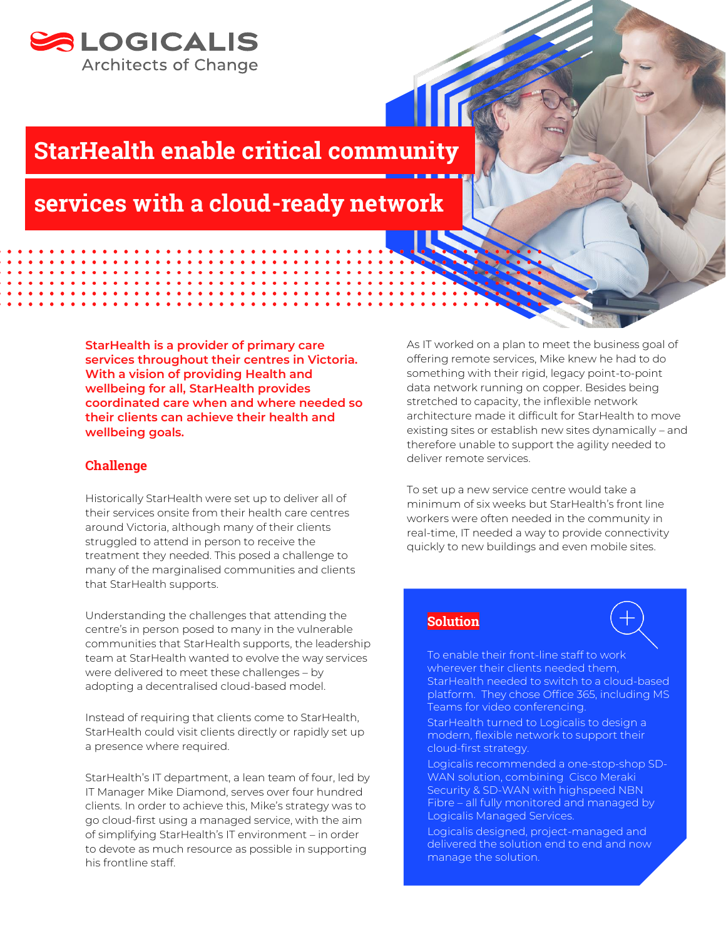

## StarHealth enable critical community

## services with a cloud-ready network

**StarHealth is a provider of primary care services throughout their centres in Victoria. With a vision of providing Health and wellbeing for all, StarHealth provides coordinated care when and where needed so their clients can achieve their health and wellbeing goals.**

### Challenge

Historically StarHealth were set up to deliver all of their services onsite from their health care centres around Victoria, although many of their clients struggled to attend in person to receive the treatment they needed. This posed a challenge to many of the marginalised communities and clients that StarHealth supports.

Understanding the challenges that attending the centre's in person posed to many in the vulnerable communities that StarHealth supports, the leadership team at StarHealth wanted to evolve the way services were delivered to meet these challenges – by adopting a decentralised cloud-based model.

Instead of requiring that clients come to StarHealth, StarHealth could visit clients directly or rapidly set up a presence where required.

StarHealth's IT department, a lean team of four, led by IT Manager Mike Diamond, serves over four hundred clients. In order to achieve this, Mike's strategy was to go cloud-first using a managed service, with the aim of simplifying StarHealth's IT environment – in order to devote as much resource as possible in supporting his frontline staff.

As IT worked on a plan to meet the business goal of offering remote services, Mike knew he had to do something with their rigid, legacy point-to-point data network running on copper. Besides being stretched to capacity, the inflexible network architecture made it difficult for StarHealth to move existing sites or establish new sites dynamically – and therefore unable to support the agility needed to deliver remote services.

To set up a new service centre would take a minimum of six weeks but StarHealth's front line workers were often needed in the community in real-time, IT needed a way to provide connectivity quickly to new buildings and even mobile sites.

### **Solution**

To enable their front-line staff to work wherever their clients needed them, StarHealth needed to switch to a cloud-based platform. They chose Office 365, including MS Teams for video conferencing.

StarHealth turned to Logicalis to design a modern, flexible network to support their cloud-first strategy.

Logicalis recommended a one-stop-shop SD-WAN solution, combining Cisco Meraki Security & SD-WAN with highspeed NBN Fibre – all fully monitored and managed by Logicalis Managed Services.

Logicalis designed, project-managed and delivered the solution end to end and now manage the solution.